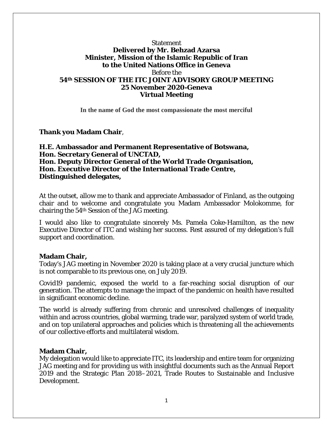## Statement **Delivered by Mr. Behzad Azarsa Minister, Mission of the Islamic Republic of Iran to the United Nations Office in Geneva** Before the **54th SESSION OF THE ITC JOINT ADVISORY GROUP MEETING 25 November 2020-Geneva Virtual Meeting**

**In the name of God the most compassionate the most merciful**

**Thank you Madam Chair**,

**H.E. Ambassador and Permanent Representative of Botswana, Hon. Secretary General of UNCTAD, Hon. Deputy Director General of the World Trade Organisation, Hon. Executive Director of the International Trade Centre, Distinguished delegates,**

At the outset, allow me to thank and appreciate Ambassador of Finland, as the outgoing chair and to welcome and congratulate you Madam Ambassador Molokomme, for chairing the 54th Session of the JAG meeting.

I would also like to congratulate sincerely Ms. Pamela Coke-Hamilton, as the new Executive Director of ITC and wishing her success. Rest assured of my delegation's full support and coordination.

## **Madam Chair,**

Today's JAG meeting in November 2020 is taking place at a very crucial juncture which is not comparable to its previous one, on July 2019.

Covid19 pandemic, exposed the world to a far-reaching social disruption of our generation. The attempts to manage the impact of the pandemic on health have resulted in significant economic decline.

The world is already suffering from chronic and unresolved challenges of inequality within and across countries, global warming, trade war, paralyzed system of world trade, and on top unilateral approaches and policies which is threatening all the achievements of our collective efforts and multilateral wisdom.

## **Madam Chair,**

My delegation would like to appreciate ITC, its leadership and entire team for organizing JAG meeting and for providing us with insightful documents such as the Annual Report 2019 and the Strategic Plan 2018–2021, Trade Routes to Sustainable and Inclusive Development.